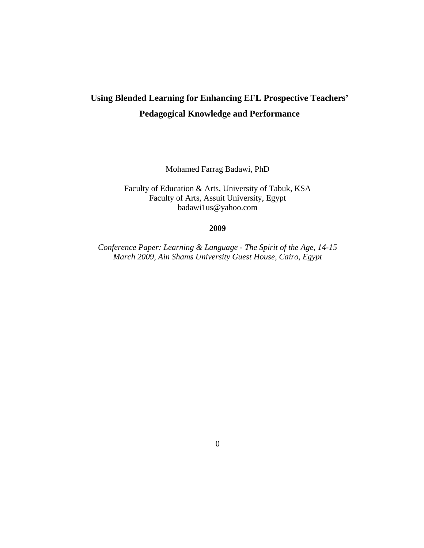# **Using Blended Learning for Enhancing EFL Prospective Teachers' Pedagogical Knowledge and Performance**

Mohamed Farrag Badawi, PhD

Faculty of Education & Arts, University of Tabuk, KSA Faculty of Arts, Assuit University, Egypt badawi1us@yahoo.com

## **2009**

*Conference Paper: Learning & Language - The Spirit of the Age, 14-15 March 2009, Ain Shams University Guest House, Cairo, Egypt*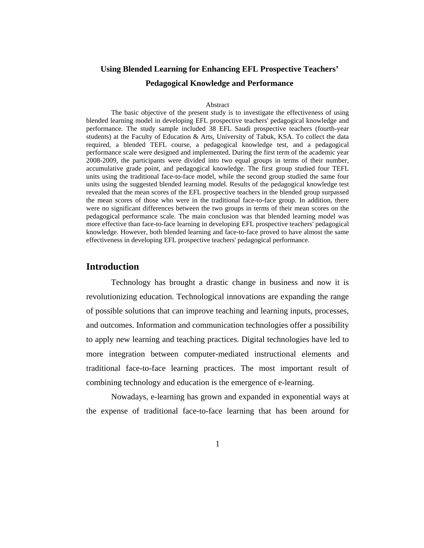# **Using Blended Learning for Enhancing EFL Prospective Teachers' Pedagogical Knowledge and Performance**

#### Abstract

The basic objective of the present study is to investigate the effectiveness of using blended learning model in developing EFL prospective teachers' pedagogical knowledge and performance. The study sample included 38 EFL Saudi prospective teachers (fourth-year students) at the Faculty of Education & Arts, University of Tabuk, KSA. To collect the data required, a blended TEFL course, a pedagogical knowledge test, and a pedagogical performance scale were designed and implemented. During the first term of the academic year 2008-2009, the participants were divided into two equal groups in terms of their number, accumulative grade point, and pedagogical knowledge. The first group studied four TEFL units using the traditional face-to-face model, while the second group studied the same four units using the suggested blended learning model. Results of the pedagogical knowledge test revealed that the mean scores of the EFL prospective teachers in the blended group surpassed the mean scores of those who were in the traditional face-to-face group. In addition, there were no significant differences between the two groups in terms of their mean scores on the pedagogical performance scale. The main conclusion was that blended learning model was more effective than face-to-face learning in developing EFL prospective teachers' pedagogical knowledge. However, both blended learning and face-to-face proved to have almost the same effectiveness in developing EFL prospective teachers' pedagogical performance.

## **Introduction**

Technology has brought a drastic change in business and now it is revolutionizing education. Technological innovations are expanding the range of possible solutions that can improve teaching and learning inputs, processes, and outcomes. Information and communication technologies offer a possibility to apply new learning and teaching practices. Digital technologies have led to more integration between computer-mediated instructional elements and traditional face-to-face learning practices. The most important result of combining technology and education is the emergence of e-learning.

Nowadays, e-learning has grown and expanded in exponential ways at the expense of traditional face-to-face learning that has been around for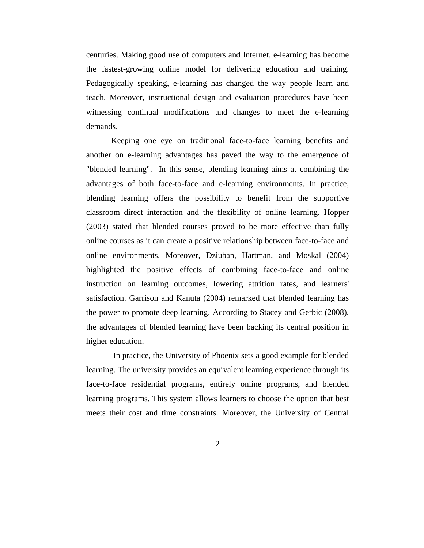centuries. Making good use of computers and Internet, e-learning has become the fastest-growing online model for delivering education and training. Pedagogically speaking, e-learning has changed the way people learn and teach. Moreover, instructional design and evaluation procedures have been witnessing continual modifications and changes to meet the e-learning demands.

Keeping one eye on traditional face-to-face learning benefits and another on e-learning advantages has paved the way to the emergence of "blended learning". In this sense, blending learning aims at combining the advantages of both face-to-face and e-learning environments. In practice, blending learning offers the possibility to benefit from the supportive classroom direct interaction and the flexibility of online learning. Hopper (2003) stated that blended courses proved to be more effective than fully online courses as it can create a positive relationship between face-to-face and online environments. Moreover, Dziuban, Hartman, and Moskal (2004) highlighted the positive effects of combining face-to-face and online instruction on learning outcomes, lowering attrition rates, and learners' satisfaction. Garrison and Kanuta (2004) remarked that blended learning has the power to promote deep learning. According to Stacey and Gerbic (2008), the advantages of blended learning have been backing its central position in higher education.

 In practice, the University of Phoenix sets a good example for blended learning. The university provides an equivalent learning experience through its face-to-face residential programs, entirely online programs, and blended learning programs. This system allows learners to choose the option that best meets their cost and time constraints. Moreover, the University of Central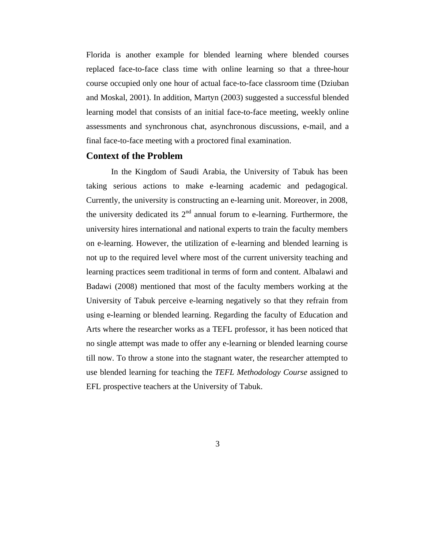Florida is another example for blended learning where blended courses replaced face-to-face class time with online learning so that a three-hour course occupied only one hour of actual face-to-face classroom time (Dziuban and Moskal, 2001). In addition, Martyn (2003) suggested a successful blended learning model that consists of an initial face-to-face meeting, weekly online assessments and synchronous chat, asynchronous discussions, e-mail, and a final face-to-face meeting with a proctored final examination.

# **Context of the Problem**

In the Kingdom of Saudi Arabia, the University of Tabuk has been taking serious actions to make e-learning academic and pedagogical. Currently, the university is constructing an e-learning unit. Moreover, in 2008, the university dedicated its  $2<sup>nd</sup>$  annual forum to e-learning. Furthermore, the university hires international and national experts to train the faculty members on e-learning. However, the utilization of e-learning and blended learning is not up to the required level where most of the current university teaching and learning practices seem traditional in terms of form and content. Albalawi and Badawi (2008) mentioned that most of the faculty members working at the University of Tabuk perceive e-learning negatively so that they refrain from using e-learning or blended learning. Regarding the faculty of Education and Arts where the researcher works as a TEFL professor, it has been noticed that no single attempt was made to offer any e-learning or blended learning course till now. To throw a stone into the stagnant water, the researcher attempted to use blended learning for teaching the *TEFL Methodology Course* assigned to EFL prospective teachers at the University of Tabuk.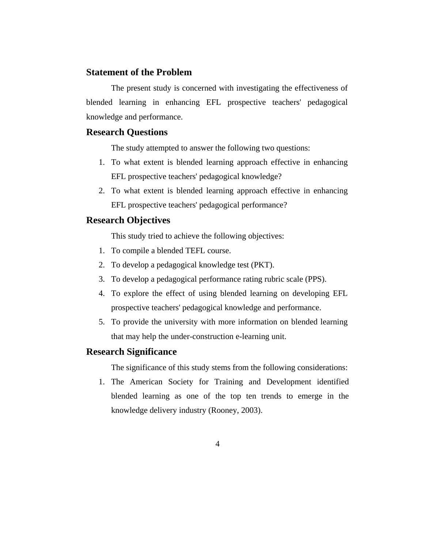# **Statement of the Problem**

The present study is concerned with investigating the effectiveness of blended learning in enhancing EFL prospective teachers' pedagogical knowledge and performance.

## **Research Questions**

The study attempted to answer the following two questions:

- 1. To what extent is blended learning approach effective in enhancing EFL prospective teachers' pedagogical knowledge?
- 2. To what extent is blended learning approach effective in enhancing EFL prospective teachers' pedagogical performance?

# **Research Objectives**

This study tried to achieve the following objectives:

- 1. To compile a blended TEFL course.
- 2. To develop a pedagogical knowledge test (PKT).
- 3. To develop a pedagogical performance rating rubric scale (PPS).
- 4. To explore the effect of using blended learning on developing EFL prospective teachers' pedagogical knowledge and performance.
- 5. To provide the university with more information on blended learning that may help the under-construction e-learning unit.

# **Research Significance**

The significance of this study stems from the following considerations:

1. The American Society for Training and Development identified blended learning as one of the top ten trends to emerge in the knowledge delivery industry (Rooney, 2003).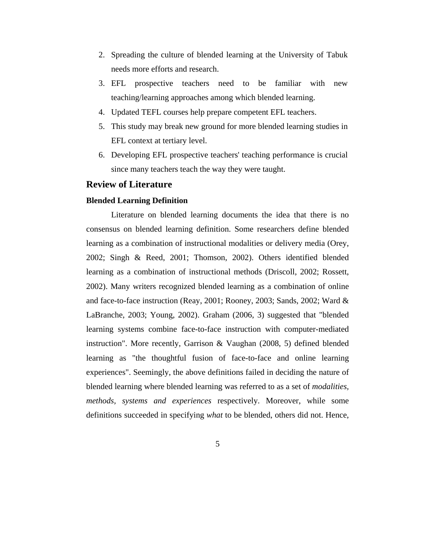- 2. Spreading the culture of blended learning at the University of Tabuk needs more efforts and research.
- 3. EFL prospective teachers need to be familiar with new teaching/learning approaches among which blended learning.
- 4. Updated TEFL courses help prepare competent EFL teachers.
- 5. This study may break new ground for more blended learning studies in EFL context at tertiary level.
- 6. Developing EFL prospective teachers' teaching performance is crucial since many teachers teach the way they were taught.

## **Review of Literature**

#### **Blended Learning Definition**

Literature on blended learning documents the idea that there is no consensus on blended learning definition. Some researchers define blended learning as a combination of instructional modalities or delivery media (Orey, 2002; Singh & Reed, 2001; Thomson, 2002). Others identified blended learning as a combination of instructional methods (Driscoll, 2002; Rossett, 2002). Many writers recognized blended learning as a combination of online and face-to-face instruction (Reay, 2001; Rooney, 2003; Sands, 2002; Ward & LaBranche, 2003; Young, 2002). Graham (2006, 3) suggested that "blended learning systems combine face-to-face instruction with computer-mediated instruction". More recently, Garrison & Vaughan (2008, 5) defined blended learning as "the thoughtful fusion of face-to-face and online learning experiences". Seemingly, the above definitions failed in deciding the nature of blended learning where blended learning was referred to as a set of *modalities, methods, systems and experiences* respectively. Moreover, while some definitions succeeded in specifying *what* to be blended, others did not. Hence,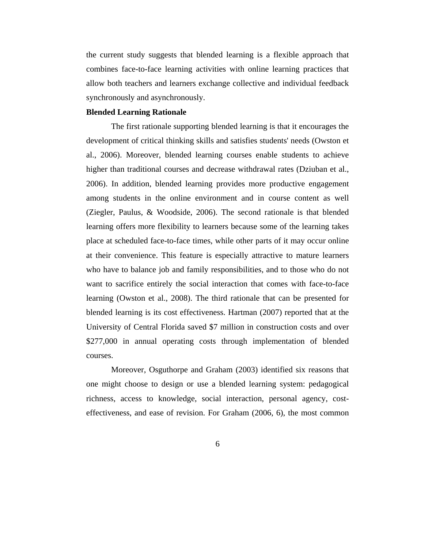the current study suggests that blended learning is a flexible approach that combines face-to-face learning activities with online learning practices that allow both teachers and learners exchange collective and individual feedback synchronously and asynchronously.

## **Blended Learning Rationale**

The first rationale supporting blended learning is that it encourages the development of critical thinking skills and satisfies students' needs (Owston et al., 2006). Moreover, blended learning courses enable students to achieve higher than traditional courses and decrease withdrawal rates (Dziuban et al., 2006). In addition, blended learning provides more productive engagement among students in the online environment and in course content as well (Ziegler, Paulus, & Woodside, 2006). The second rationale is that blended learning offers more flexibility to learners because some of the learning takes place at scheduled face-to-face times, while other parts of it may occur online at their convenience. This feature is especially attractive to mature learners who have to balance job and family responsibilities, and to those who do not want to sacrifice entirely the social interaction that comes with face-to-face learning (Owston et al., 2008). The third rationale that can be presented for blended learning is its cost effectiveness. Hartman (2007) reported that at the University of Central Florida saved \$7 million in construction costs and over \$277,000 in annual operating costs through implementation of blended courses.

Moreover, Osguthorpe and Graham (2003) identified six reasons that one might choose to design or use a blended learning system: pedagogical richness, access to knowledge, social interaction, personal agency, costeffectiveness, and ease of revision. For Graham (2006, 6), the most common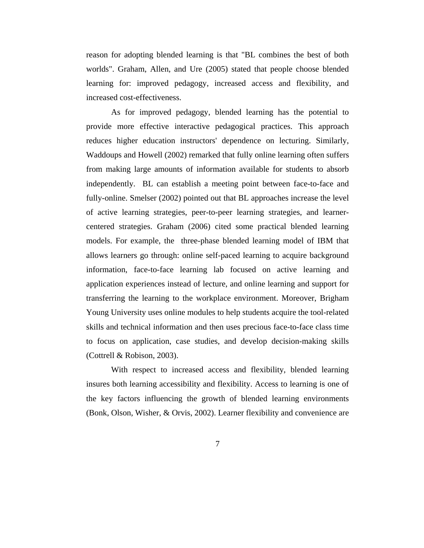reason for adopting blended learning is that "BL combines the best of both worlds". Graham, Allen, and Ure (2005) stated that people choose blended learning for: improved pedagogy, increased access and flexibility, and increased cost-effectiveness.

As for improved pedagogy, blended learning has the potential to provide more effective interactive pedagogical practices. This approach reduces higher education instructors' dependence on lecturing. Similarly, Waddoups and Howell (2002) remarked that fully online learning often suffers from making large amounts of information available for students to absorb independently. BL can establish a meeting point between face-to-face and fully-online. Smelser (2002) pointed out that BL approaches increase the level of active learning strategies, peer-to-peer learning strategies, and learnercentered strategies. Graham (2006) cited some practical blended learning models. For example, the three-phase blended learning model of IBM that allows learners go through: online self-paced learning to acquire background information, face-to-face learning lab focused on active learning and application experiences instead of lecture, and online learning and support for transferring the learning to the workplace environment. Moreover, Brigham Young University uses online modules to help students acquire the tool-related skills and technical information and then uses precious face-to-face class time to focus on application, case studies, and develop decision-making skills (Cottrell & Robison, 2003).

With respect to increased access and flexibility, blended learning insures both learning accessibility and flexibility. Access to learning is one of the key factors influencing the growth of blended learning environments (Bonk, Olson, Wisher, & Orvis, 2002). Learner flexibility and convenience are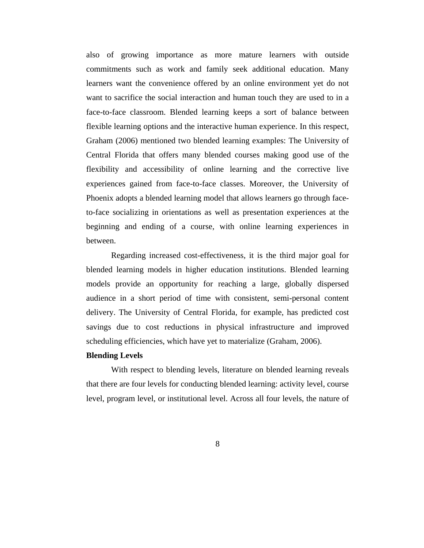also of growing importance as more mature learners with outside commitments such as work and family seek additional education. Many learners want the convenience offered by an online environment yet do not want to sacrifice the social interaction and human touch they are used to in a face-to-face classroom. Blended learning keeps a sort of balance between flexible learning options and the interactive human experience. In this respect, Graham (2006) mentioned two blended learning examples: The University of Central Florida that offers many blended courses making good use of the flexibility and accessibility of online learning and the corrective live experiences gained from face-to-face classes. Moreover, the University of Phoenix adopts a blended learning model that allows learners go through faceto-face socializing in orientations as well as presentation experiences at the beginning and ending of a course, with online learning experiences in between.

Regarding increased cost-effectiveness, it is the third major goal for blended learning models in higher education institutions. Blended learning models provide an opportunity for reaching a large, globally dispersed audience in a short period of time with consistent, semi-personal content delivery. The University of Central Florida, for example, has predicted cost savings due to cost reductions in physical infrastructure and improved scheduling efficiencies, which have yet to materialize (Graham, 2006).

#### **Blending Levels**

With respect to blending levels, literature on blended learning reveals that there are four levels for conducting blended learning: activity level, course level, program level, or institutional level. Across all four levels, the nature of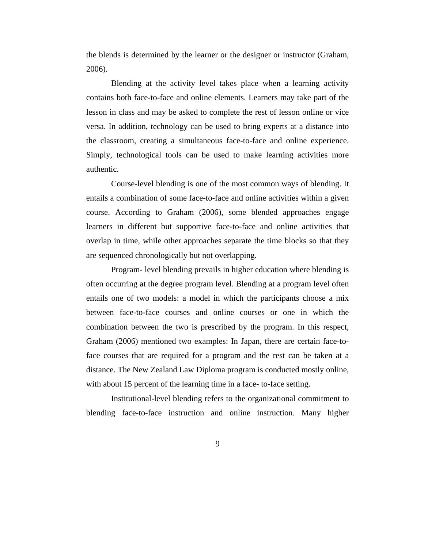the blends is determined by the learner or the designer or instructor (Graham, 2006).

Blending at the activity level takes place when a learning activity contains both face-to-face and online elements. Learners may take part of the lesson in class and may be asked to complete the rest of lesson online or vice versa. In addition, technology can be used to bring experts at a distance into the classroom, creating a simultaneous face-to-face and online experience. Simply, technological tools can be used to make learning activities more authentic.

Course-level blending is one of the most common ways of blending. It entails a combination of some face-to-face and online activities within a given course. According to Graham (2006), some blended approaches engage learners in different but supportive face-to-face and online activities that overlap in time, while other approaches separate the time blocks so that they are sequenced chronologically but not overlapping.

Program- level blending prevails in higher education where blending is often occurring at the degree program level. Blending at a program level often entails one of two models: a model in which the participants choose a mix between face-to-face courses and online courses or one in which the combination between the two is prescribed by the program. In this respect, Graham (2006) mentioned two examples: In Japan, there are certain face-toface courses that are required for a program and the rest can be taken at a distance. The New Zealand Law Diploma program is conducted mostly online, with about 15 percent of the learning time in a face- to-face setting.

Institutional-level blending refers to the organizational commitment to blending face-to-face instruction and online instruction. Many higher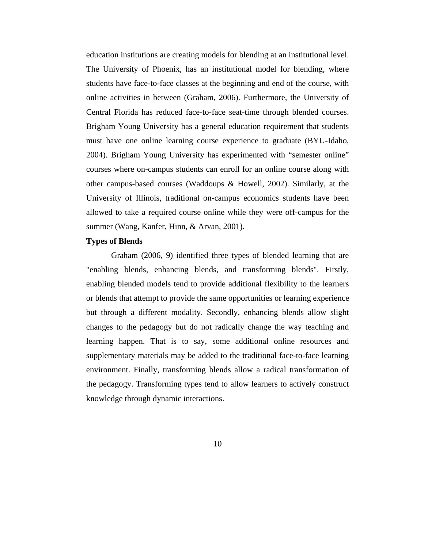education institutions are creating models for blending at an institutional level. The University of Phoenix, has an institutional model for blending, where students have face-to-face classes at the beginning and end of the course, with online activities in between (Graham, 2006). Furthermore, the University of Central Florida has reduced face-to-face seat-time through blended courses. Brigham Young University has a general education requirement that students must have one online learning course experience to graduate (BYU-Idaho, 2004). Brigham Young University has experimented with "semester online" courses where on-campus students can enroll for an online course along with other campus-based courses (Waddoups & Howell, 2002). Similarly, at the University of Illinois, traditional on-campus economics students have been allowed to take a required course online while they were off-campus for the summer (Wang, Kanfer, Hinn, & Arvan, 2001).

## **Types of Blends**

Graham (2006, 9) identified three types of blended learning that are "enabling blends, enhancing blends, and transforming blends". Firstly, enabling blended models tend to provide additional flexibility to the learners or blends that attempt to provide the same opportunities or learning experience but through a different modality. Secondly, enhancing blends allow slight changes to the pedagogy but do not radically change the way teaching and learning happen. That is to say, some additional online resources and supplementary materials may be added to the traditional face-to-face learning environment. Finally, transforming blends allow a radical transformation of the pedagogy. Transforming types tend to allow learners to actively construct knowledge through dynamic interactions.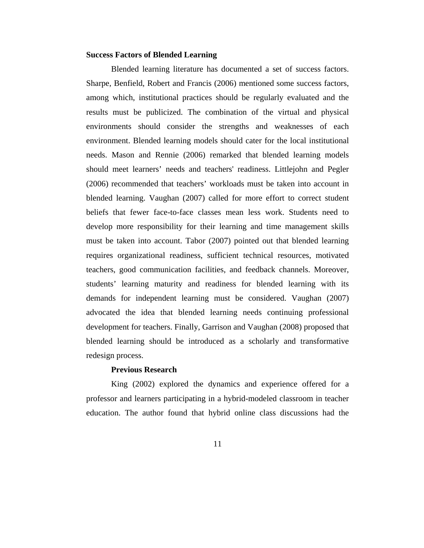#### **Success Factors of Blended Learning**

Blended learning literature has documented a set of success factors. Sharpe, Benfield, Robert and Francis (2006) mentioned some success factors, among which, institutional practices should be regularly evaluated and the results must be publicized. The combination of the virtual and physical environments should consider the strengths and weaknesses of each environment. Blended learning models should cater for the local institutional needs. Mason and Rennie (2006) remarked that blended learning models should meet learners' needs and teachers' readiness. Littlejohn and Pegler (2006) recommended that teachers' workloads must be taken into account in blended learning. Vaughan (2007) called for more effort to correct student beliefs that fewer face-to-face classes mean less work. Students need to develop more responsibility for their learning and time management skills must be taken into account. Tabor (2007) pointed out that blended learning requires organizational readiness, sufficient technical resources, motivated teachers, good communication facilities, and feedback channels. Moreover, students' learning maturity and readiness for blended learning with its demands for independent learning must be considered. Vaughan (2007) advocated the idea that blended learning needs continuing professional development for teachers. Finally, Garrison and Vaughan (2008) proposed that blended learning should be introduced as a scholarly and transformative redesign process.

# **Previous Research**

King (2002) explored the dynamics and experience offered for a professor and learners participating in a hybrid-modeled classroom in teacher education. The author found that hybrid online class discussions had the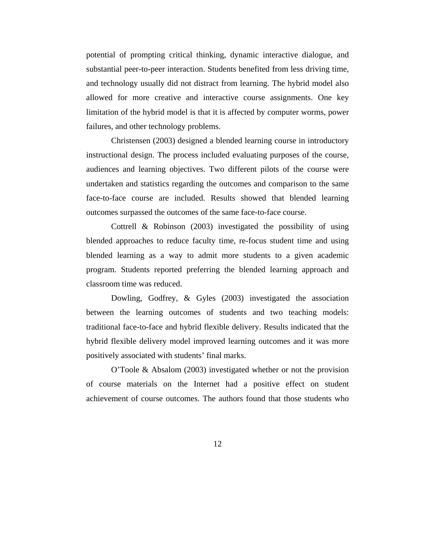potential of prompting critical thinking, dynamic interactive dialogue, and substantial peer-to-peer interaction. Students benefited from less driving time, and technology usually did not distract from learning. The hybrid model also allowed for more creative and interactive course assignments. One key limitation of the hybrid model is that it is affected by computer worms, power failures, and other technology problems.

Christensen (2003) designed a blended learning course in introductory instructional design. The process included evaluating purposes of the course, audiences and learning objectives. Two different pilots of the course were undertaken and statistics regarding the outcomes and comparison to the same face-to-face course are included. Results showed that blended learning outcomes surpassed the outcomes of the same face-to-face course.

Cottrell & Robinson (2003) investigated the possibility of using blended approaches to reduce faculty time, re-focus student time and using blended learning as a way to admit more students to a given academic program. Students reported preferring the blended learning approach and classroom time was reduced.

Dowling, Godfrey, & Gyles (2003) investigated the association between the learning outcomes of students and two teaching models: traditional face-to-face and hybrid flexible delivery. Results indicated that the hybrid flexible delivery model improved learning outcomes and it was more positively associated with students' final marks.

O'Toole & Absalom (2003) investigated whether or not the provision of course materials on the Internet had a positive effect on student achievement of course outcomes. The authors found that those students who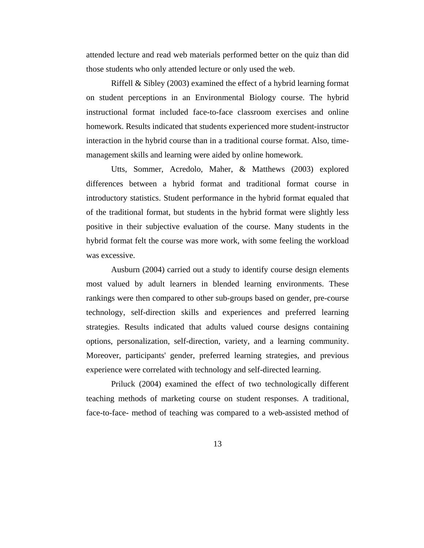attended lecture and read web materials performed better on the quiz than did those students who only attended lecture or only used the web.

Riffell & Sibley (2003) examined the effect of a hybrid learning format on student perceptions in an Environmental Biology course. The hybrid instructional format included face-to-face classroom exercises and online homework. Results indicated that students experienced more student-instructor interaction in the hybrid course than in a traditional course format. Also, timemanagement skills and learning were aided by online homework.

Utts, Sommer, Acredolo, Maher, & Matthews (2003) explored differences between a hybrid format and traditional format course in introductory statistics. Student performance in the hybrid format equaled that of the traditional format, but students in the hybrid format were slightly less positive in their subjective evaluation of the course. Many students in the hybrid format felt the course was more work, with some feeling the workload was excessive.

Ausburn (2004) carried out a study to identify course design elements most valued by adult learners in blended learning environments. These rankings were then compared to other sub-groups based on gender, pre-course technology, self-direction skills and experiences and preferred learning strategies. Results indicated that adults valued course designs containing options, personalization, self-direction, variety, and a learning community. Moreover, participants' gender, preferred learning strategies, and previous experience were correlated with technology and self-directed learning.

Priluck (2004) examined the effect of two technologically different teaching methods of marketing course on student responses. A traditional, face-to-face- method of teaching was compared to a web-assisted method of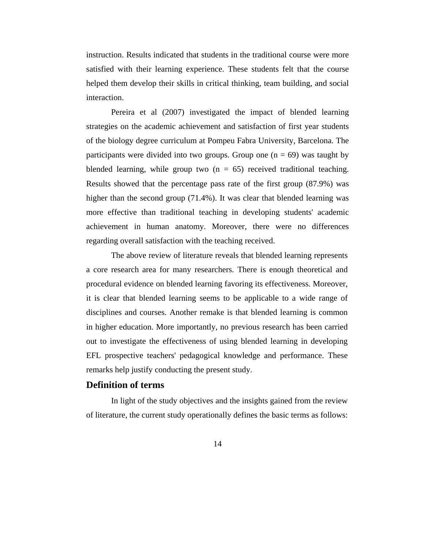instruction. Results indicated that students in the traditional course were more satisfied with their learning experience. These students felt that the course helped them develop their skills in critical thinking, team building, and social interaction.

Pereira et al (2007) investigated the impact of blended learning strategies on the academic achievement and satisfaction of first year students of the biology degree curriculum at Pompeu Fabra University, Barcelona. The participants were divided into two groups. Group one  $(n = 69)$  was taught by blended learning, while group two  $(n = 65)$  received traditional teaching. Results showed that the percentage pass rate of the first group (87.9%) was higher than the second group (71.4%). It was clear that blended learning was more effective than traditional teaching in developing students' academic achievement in human anatomy. Moreover, there were no differences regarding overall satisfaction with the teaching received.

The above review of literature reveals that blended learning represents a core research area for many researchers. There is enough theoretical and procedural evidence on blended learning favoring its effectiveness. Moreover, it is clear that blended learning seems to be applicable to a wide range of disciplines and courses. Another remake is that blended learning is common in higher education. More importantly, no previous research has been carried out to investigate the effectiveness of using blended learning in developing EFL prospective teachers' pedagogical knowledge and performance. These remarks help justify conducting the present study.

# **Definition of terms**

In light of the study objectives and the insights gained from the review of literature, the current study operationally defines the basic terms as follows: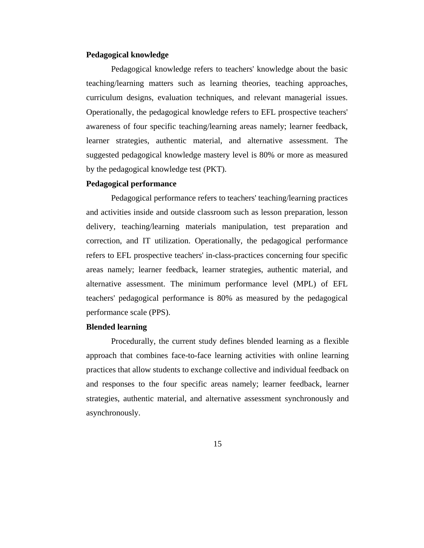## **Pedagogical knowledge**

Pedagogical knowledge refers to teachers' knowledge about the basic teaching/learning matters such as learning theories, teaching approaches, curriculum designs, evaluation techniques, and relevant managerial issues. Operationally, the pedagogical knowledge refers to EFL prospective teachers' awareness of four specific teaching/learning areas namely; learner feedback, learner strategies, authentic material, and alternative assessment. The suggested pedagogical knowledge mastery level is 80% or more as measured by the pedagogical knowledge test (PKT).

#### **Pedagogical performance**

Pedagogical performance refers to teachers' teaching/learning practices and activities inside and outside classroom such as lesson preparation, lesson delivery, teaching/learning materials manipulation, test preparation and correction, and IT utilization. Operationally, the pedagogical performance refers to EFL prospective teachers' in-class-practices concerning four specific areas namely; learner feedback, learner strategies, authentic material, and alternative assessment. The minimum performance level (MPL) of EFL teachers' pedagogical performance is 80% as measured by the pedagogical performance scale (PPS).

#### **Blended learning**

Procedurally, the current study defines blended learning as a flexible approach that combines face-to-face learning activities with online learning practices that allow students to exchange collective and individual feedback on and responses to the four specific areas namely; learner feedback, learner strategies, authentic material, and alternative assessment synchronously and asynchronously.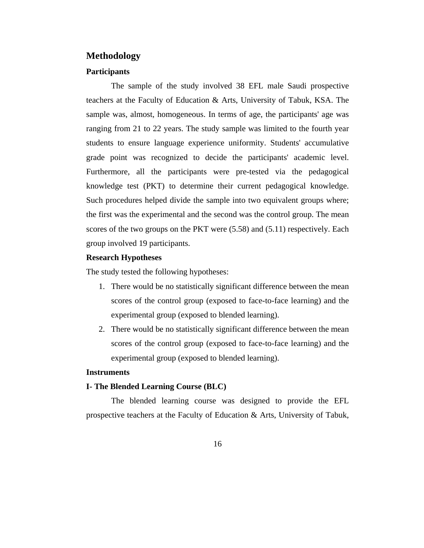# **Methodology**

## **Participants**

The sample of the study involved 38 EFL male Saudi prospective teachers at the Faculty of Education & Arts, University of Tabuk, KSA. The sample was, almost, homogeneous. In terms of age, the participants' age was ranging from 21 to 22 years. The study sample was limited to the fourth year students to ensure language experience uniformity. Students' accumulative grade point was recognized to decide the participants' academic level. Furthermore, all the participants were pre-tested via the pedagogical knowledge test (PKT) to determine their current pedagogical knowledge. Such procedures helped divide the sample into two equivalent groups where; the first was the experimental and the second was the control group. The mean scores of the two groups on the PKT were (5.58) and (5.11) respectively. Each group involved 19 participants.

#### **Research Hypotheses**

The study tested the following hypotheses:

- 1. There would be no statistically significant difference between the mean scores of the control group (exposed to face-to-face learning) and the experimental group (exposed to blended learning).
- 2. There would be no statistically significant difference between the mean scores of the control group (exposed to face-to-face learning) and the experimental group (exposed to blended learning).

#### **Instruments**

#### **I- The Blended Learning Course (BLC)**

The blended learning course was designed to provide the EFL prospective teachers at the Faculty of Education & Arts, University of Tabuk,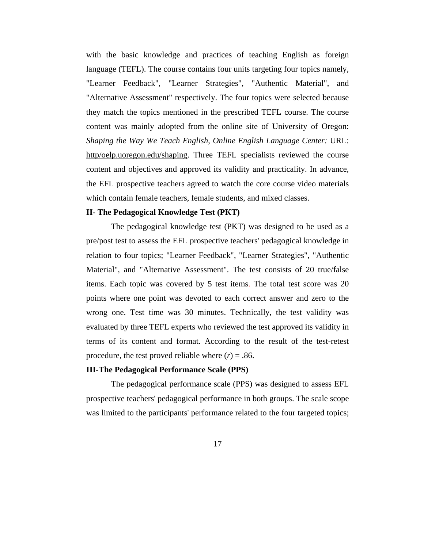with the basic knowledge and practices of teaching English as foreign language (TEFL). The course contains four units targeting four topics namely, "Learner Feedback", "Learner Strategies", "Authentic Material", and "Alternative Assessment" respectively. The four topics were selected because they match the topics mentioned in the prescribed TEFL course. The course content was mainly adopted from the online site of University of Oregon: *Shaping the Way We Teach English*, *Online English Language Center:* URL: http/oelp.uoregon.edu/shaping. Three TEFL specialists reviewed the course content and objectives and approved its validity and practicality. In advance, the EFL prospective teachers agreed to watch the core course video materials which contain female teachers, female students, and mixed classes.

#### **II- The Pedagogical Knowledge Test (PKT)**

The pedagogical knowledge test (PKT) was designed to be used as a pre/post test to assess the EFL prospective teachers' pedagogical knowledge in relation to four topics; "Learner Feedback", "Learner Strategies", "Authentic Material", and "Alternative Assessment". The test consists of 20 true/false items. Each topic was covered by 5 test items. The total test score was 20 points where one point was devoted to each correct answer and zero to the wrong one. Test time was 30 minutes. Technically, the test validity was evaluated by three TEFL experts who reviewed the test approved its validity in terms of its content and format. According to the result of the test-retest procedure, the test proved reliable where  $(r) = .86$ .

# **III-The Pedagogical Performance Scale (PPS)**

The pedagogical performance scale (PPS) was designed to assess EFL prospective teachers' pedagogical performance in both groups. The scale scope was limited to the participants' performance related to the four targeted topics;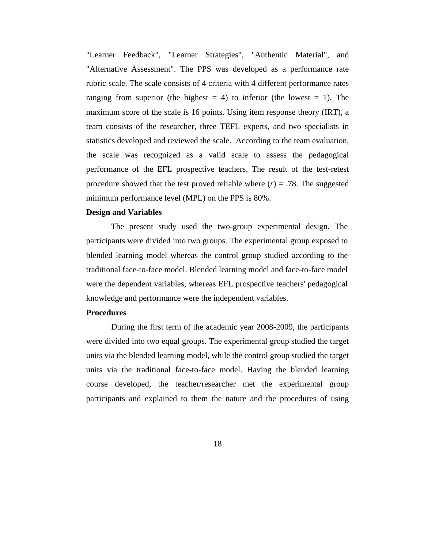"Learner Feedback", "Learner Strategies", "Authentic Material", and "Alternative Assessment". The PPS was developed as a performance rate rubric scale. The scale consists of 4 criteria with 4 different performance rates ranging from superior (the highest  $= 4$ ) to inferior (the lowest  $= 1$ ). The maximum score of the scale is 16 points. Using item response theory (IRT), a team consists of the researcher, three TEFL experts, and two specialists in statistics developed and reviewed the scale. According to the team evaluation, the scale was recognized as a valid scale to assess the pedagogical performance of the EFL prospective teachers. The result of the test-retest procedure showed that the test proved reliable where  $(r) = .78$ . The suggested minimum performance level (MPL) on the PPS is 80%.

## **Design and Variables**

The present study used the two-group experimental design. The participants were divided into two groups. The experimental group exposed to blended learning model whereas the control group studied according to the traditional face-to-face model. Blended learning model and face-to-face model were the dependent variables, whereas EFL prospective teachers' pedagogical knowledge and performance were the independent variables.

## **Procedures**

During the first term of the academic year 2008-2009, the participants were divided into two equal groups. The experimental group studied the target units via the blended learning model, while the control group studied the target units via the traditional face-to-face model. Having the blended learning course developed, the teacher/researcher met the experimental group participants and explained to them the nature and the procedures of using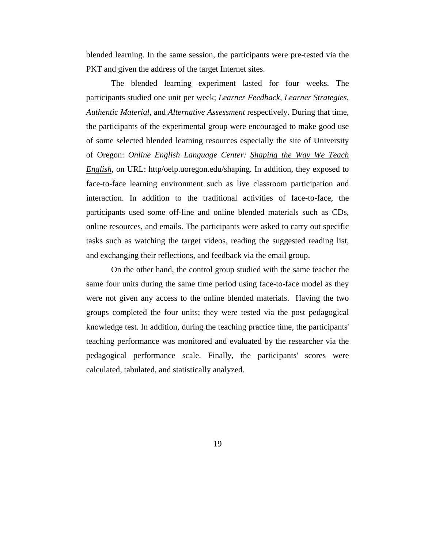blended learning. In the same session, the participants were pre-tested via the PKT and given the address of the target Internet sites.

The blended learning experiment lasted for four weeks. The participants studied one unit per week; *Learner Feedback, Learner Strategies, Authentic Material,* and *Alternative Assessment* respectively. During that time, the participants of the experimental group were encouraged to make good use of some selected blended learning resources especially the site of University of Oregon: *Online English Language Center: Shaping the Way We Teach English*, on URL: http/oelp.uoregon.edu/shaping. In addition, they exposed to face-to-face learning environment such as live classroom participation and interaction. In addition to the traditional activities of face-to-face, the participants used some off-line and online blended materials such as CDs, online resources, and emails. The participants were asked to carry out specific tasks such as watching the target videos, reading the suggested reading list, and exchanging their reflections, and feedback via the email group.

On the other hand, the control group studied with the same teacher the same four units during the same time period using face-to-face model as they were not given any access to the online blended materials. Having the two groups completed the four units; they were tested via the post pedagogical knowledge test. In addition, during the teaching practice time, the participants' teaching performance was monitored and evaluated by the researcher via the pedagogical performance scale. Finally, the participants' scores were calculated, tabulated, and statistically analyzed.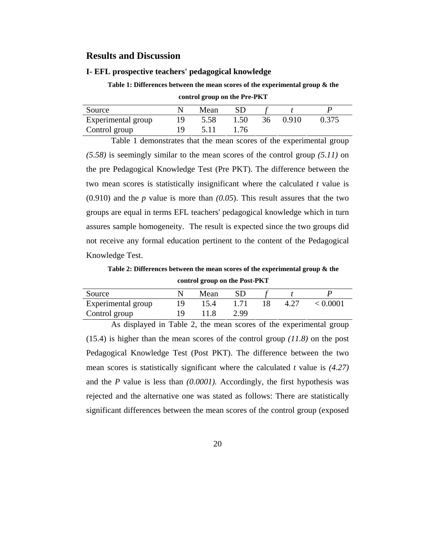## **Results and Discussion**

#### **I- EFL prospective teachers' pedagogical knowledge**

**Table 1: Differences between the mean scores of the experimental group & the control group on the Pre-PKT** 

| Source             | Mean |       |    |       |       |
|--------------------|------|-------|----|-------|-------|
| Experimental group | 5.58 | 1.50  | 36 | 0.910 | 0.375 |
| Control group      |      | L 76. |    |       |       |

Table 1 demonstrates that the mean scores of the experimental group *(5.58)* is seemingly similar to the mean scores of the control group *(5.11)* on the pre Pedagogical Knowledge Test (Pre PKT). The difference between the two mean scores is statistically insignificant where the calculated *t* value is (0.910) and the *p* value is more than *(0.05*). This result assures that the two groups are equal in terms EFL teachers' pedagogical knowledge which in turn assures sample homogeneity. The result is expected since the two groups did not receive any formal education pertinent to the content of the Pedagogical Knowledge Test.

**Table 2: Differences between the mean scores of the experimental group & the control group on the Post-PKT** 

| Source             | Mean |      |      |          |
|--------------------|------|------|------|----------|
| Experimental group | 15.4 | 1.71 | 4.27 | < 0.0001 |
| Control group      |      | 2.99 |      |          |

As displayed in Table 2, the mean scores of the experimental group (15.4) is higher than the mean scores of the control group *(11.8)* on the post Pedagogical Knowledge Test (Post PKT). The difference between the two mean scores is statistically significant where the calculated *t* value is *(4.27)* and the *P* value is less than *(0.0001).* Accordingly, the first hypothesis was rejected and the alternative one was stated as follows: There are statistically significant differences between the mean scores of the control group (exposed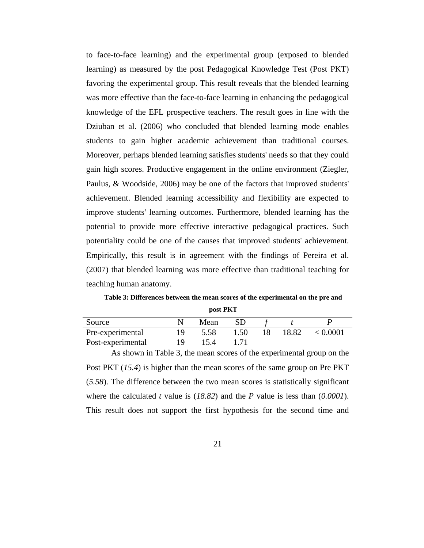to face-to-face learning) and the experimental group (exposed to blended learning) as measured by the post Pedagogical Knowledge Test (Post PKT) favoring the experimental group. This result reveals that the blended learning was more effective than the face-to-face learning in enhancing the pedagogical knowledge of the EFL prospective teachers. The result goes in line with the Dziuban et al. (2006) who concluded that blended learning mode enables students to gain higher academic achievement than traditional courses. Moreover, perhaps blended learning satisfies students' needs so that they could gain high scores. Productive engagement in the online environment (Ziegler, Paulus, & Woodside, 2006) may be one of the factors that improved students' achievement. Blended learning accessibility and flexibility are expected to improve students' learning outcomes. Furthermore, blended learning has the potential to provide more effective interactive pedagogical practices. Such potentiality could be one of the causes that improved students' achievement. Empirically, this result is in agreement with the findings of Pereira et al. (2007) that blended learning was more effective than traditional teaching for teaching human anatomy.

**Table 3: Differences between the mean scores of the experimental on the pre and post PKT** 

| Source            | Mean |      |       |          |
|-------------------|------|------|-------|----------|
| Pre-experimental  | 5.58 | 1.50 | 18.82 | < 0.0001 |
| Post-experimental |      |      |       |          |

As shown in Table 3, the mean scores of the experimental group on the Post PKT (*15.4*) is higher than the mean scores of the same group on Pre PKT (*5.58*). The difference between the two mean scores is statistically significant where the calculated *t* value is (*18.82*) and the *P* value is less than (*0.0001*). This result does not support the first hypothesis for the second time and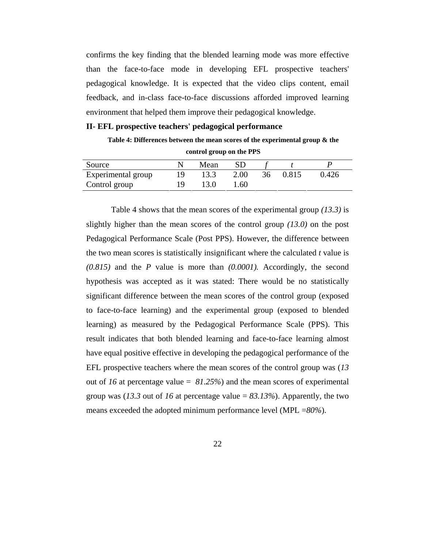confirms the key finding that the blended learning mode was more effective than the face-to-face mode in developing EFL prospective teachers' pedagogical knowledge. It is expected that the video clips content, email feedback, and in-class face-to-face discussions afforded improved learning environment that helped them improve their pedagogical knowledge.

#### **II- EFL prospective teachers' pedagogical performance**

**Table 4: Differences between the mean scores of the experimental group & the control group on the PPS** 

| Source             |    | Mean |      |    |       |       |
|--------------------|----|------|------|----|-------|-------|
| Experimental group | ιч |      | 2.00 | 36 | 0.815 | 0.426 |
| Control group      |    |      | .60  |    |       |       |

Table 4 shows that the mean scores of the experimental group *(13.3)* is slightly higher than the mean scores of the control group *(13.0)* on the post Pedagogical Performance Scale (Post PPS). However, the difference between the two mean scores is statistically insignificant where the calculated *t* value is *(0.815)* and the *P* value is more than *(0.0001).* Accordingly, the second hypothesis was accepted as it was stated: There would be no statistically significant difference between the mean scores of the control group (exposed to face-to-face learning) and the experimental group (exposed to blended learning) as measured by the Pedagogical Performance Scale (PPS). This result indicates that both blended learning and face-to-face learning almost have equal positive effective in developing the pedagogical performance of the EFL prospective teachers where the mean scores of the control group was (*13* out of *16* at percentage value = *81.25%*) and the mean scores of experimental group was (*13.3* out of *16* at percentage value = *83.13%*). Apparently, the two means exceeded the adopted minimum performance level (MPL =*80%*).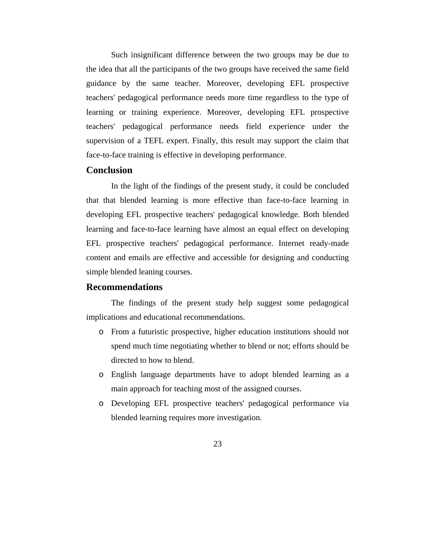Such insignificant difference between the two groups may be due to the idea that all the participants of the two groups have received the same field guidance by the same teacher. Moreover, developing EFL prospective teachers' pedagogical performance needs more time regardless to the type of learning or training experience. Moreover, developing EFL prospective teachers' pedagogical performance needs field experience under the supervision of a TEFL expert. Finally, this result may support the claim that face-to-face training is effective in developing performance.

## **Conclusion**

In the light of the findings of the present study, it could be concluded that that blended learning is more effective than face-to-face learning in developing EFL prospective teachers' pedagogical knowledge. Both blended learning and face-to-face learning have almost an equal effect on developing EFL prospective teachers' pedagogical performance. Internet ready-made content and emails are effective and accessible for designing and conducting simple blended leaning courses.

## **Recommendations**

The findings of the present study help suggest some pedagogical implications and educational recommendations.

- o From a futuristic prospective, higher education institutions should not spend much time negotiating whether to blend or not; efforts should be directed to how to blend.
- o English language departments have to adopt blended learning as a main approach for teaching most of the assigned courses.
- o Developing EFL prospective teachers' pedagogical performance via blended learning requires more investigation.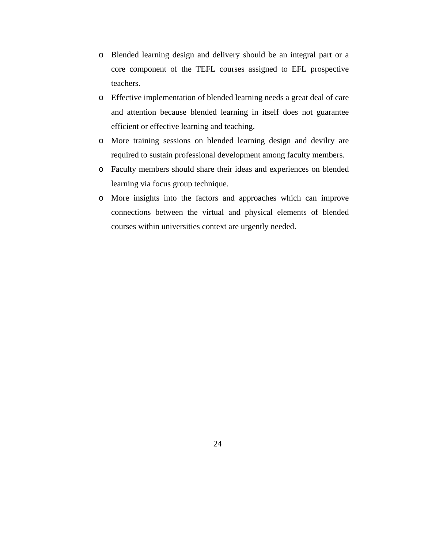- o Blended learning design and delivery should be an integral part or a core component of the TEFL courses assigned to EFL prospective teachers.
- o Effective implementation of blended learning needs a great deal of care and attention because blended learning in itself does not guarantee efficient or effective learning and teaching.
- o More training sessions on blended learning design and devilry are required to sustain professional development among faculty members.
- o Faculty members should share their ideas and experiences on blended learning via focus group technique.
- o More insights into the factors and approaches which can improve connections between the virtual and physical elements of blended courses within universities context are urgently needed.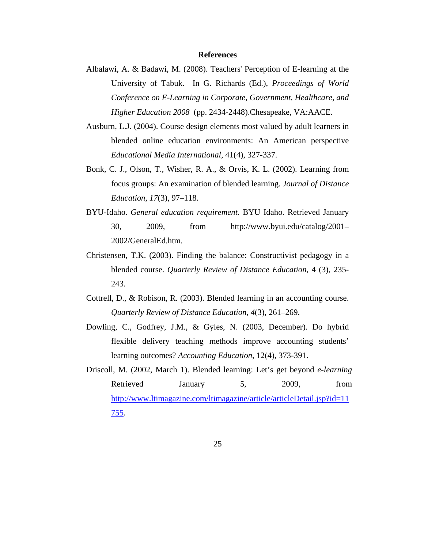#### **References**

- Albalawi, A. & Badawi, M. (2008). Teachers' Perception of E-learning at the University of Tabuk. In G. Richards (Ed.), *Proceedings of World Conference on E-Learning in Corporate, Government, Healthcare, and Higher Education 2008* (pp. 2434-2448).Chesapeake, VA:AACE.
- Ausburn, L.J. (2004). Course design elements most valued by adult learners in blended online education environments: An American perspective *Educational Media International*, 41(4), 327-337.
- Bonk, C. J., Olson, T., Wisher, R. A., & Orvis, K. L. (2002). Learning from focus groups: An examination of blended learning. *Journal of Distance Education, 17*(3), 97–118.
- BYU-Idaho. *General education requirement.* BYU Idaho. Retrieved January 30, 2009, from http://www.byui.edu/catalog/2001– 2002/GeneralEd.htm.
- Christensen, T.K. (2003). Finding the balance: Constructivist pedagogy in a blended course. *Quarterly Review of Distance Education*, 4 (3), 235- 243.
- Cottrell, D., & Robison, R. (2003). Blended learning in an accounting course. *Quarterly Review of Distance Education, 4*(3), 261–269.
- Dowling, C., Godfrey, J.M., & Gyles, N. (2003, December). Do hybrid flexible delivery teaching methods improve accounting students' learning outcomes? *Accounting Education*, 12(4), 373-391.
- Driscoll, M. (2002, March 1). Blended learning: Let's get beyond *e-learning* Retrieved January 5, 2009, from http://www.ltimagazine.com/ltimagazine/article/articleDetail.jsp?id=11 755*.*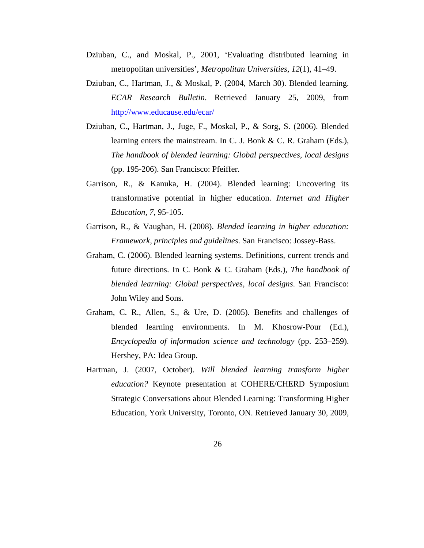- Dziuban, C., and Moskal, P., 2001, 'Evaluating distributed learning in metropolitan universities', *Metropolitan Universities, 12*(1), 41–49.
- Dziuban, C., Hartman, J., & Moskal, P. (2004, March 30). Blended learning. *ECAR Research Bulletin*. Retrieved January 25, 2009, from http://www.educause.edu/ecar/
- Dziuban, C., Hartman, J., Juge, F., Moskal, P., & Sorg, S. (2006). Blended learning enters the mainstream. In C. J. Bonk & C. R. Graham (Eds.), *The handbook of blended learning: Global perspectives, local designs*  (pp. 195-206). San Francisco: Pfeiffer.
- Garrison, R., & Kanuka, H. (2004). Blended learning: Uncovering its transformative potential in higher education. *Internet and Higher Education, 7*, 95-105.
- Garrison, R., & Vaughan, H. (2008). *Blended learning in higher education: Framework, principles and guidelines*. San Francisco: Jossey-Bass.
- Graham, C. (2006). Blended learning systems. Definitions, current trends and future directions. In C. Bonk & C. Graham (Eds.), *The handbook of blended learning: Global perspectives, local designs*. San Francisco: John Wiley and Sons.
- Graham, C. R., Allen, S., & Ure, D. (2005). Benefits and challenges of blended learning environments. In M. Khosrow-Pour (Ed.), *Encyclopedia of information science and technology* (pp. 253–259). Hershey, PA: Idea Group.
- Hartman, J. (2007, October). *Will blended learning transform higher education?* Keynote presentation at COHERE/CHERD Symposium Strategic Conversations about Blended Learning: Transforming Higher Education, York University, Toronto, ON. Retrieved January 30, 2009,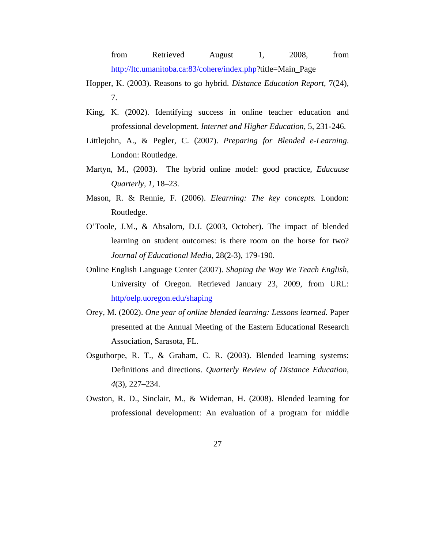from Retrieved August 1, 2008, from http://ltc.umanitoba.ca:83/cohere/index.php?title=Main\_Page

- Hopper, K. (2003). Reasons to go hybrid. *Distance Education Report*, 7(24), 7.
- King, K. (2002). Identifying success in online teacher education and professional development. *Internet and Higher Education*, 5, 231-246.
- Littlejohn, A., & Pegler, C. (2007). *Preparing for Blended e-Learning*. London: Routledge.
- Martyn, M., (2003). The hybrid online model: good practice, *Educause Quarterly, 1*, 18–23.
- Mason, R. & Rennie, F. (2006). *Elearning: The key concepts.* London: Routledge.
- O'Toole, J.M., & Absalom, D.J. (2003, October). The impact of blended learning on student outcomes: is there room on the horse for two? *Journal of Educational Media*, 28(2-3), 179-190.
- Online English Language Center (2007). *Shaping the Way We Teach English,*  University of Oregon. Retrieved January 23, 2009, from URL: http/oelp.uoregon.edu/shaping
- Orey, M. (2002). *One year of online blended learning: Lessons learned.* Paper presented at the Annual Meeting of the Eastern Educational Research Association, Sarasota, FL.
- Osguthorpe, R. T., & Graham, C. R. (2003). Blended learning systems: Definitions and directions. *Quarterly Review of Distance Education, 4*(3), 227–234.
- Owston, R. D., Sinclair, M., & Wideman, H. (2008). Blended learning for professional development: An evaluation of a program for middle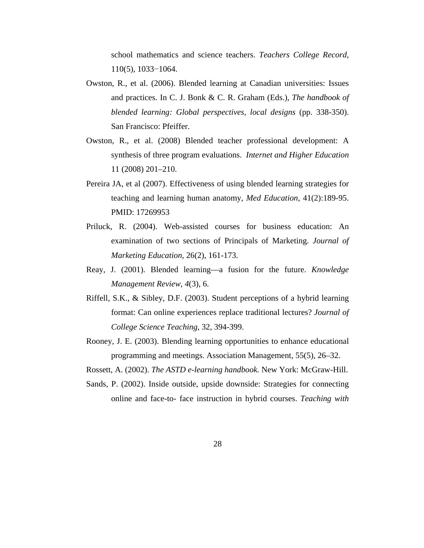school mathematics and science teachers. *Teachers College Record*, 110(5), 1033−1064.

- Owston, R., et al. (2006). Blended learning at Canadian universities: Issues and practices. In C. J. Bonk & C. R. Graham (Eds.), *The handbook of blended learning: Global perspectives, local designs* (pp. 338-350). San Francisco: Pfeiffer.
- Owston, R., et al. (2008) Blended teacher professional development: A synthesis of three program evaluations. *Internet and Higher Education* 11 (2008) 201–210.
- Pereira JA, et al (2007). Effectiveness of using blended learning strategies for teaching and learning human anatomy, *Med Education*, 41(2):189-95. PMID: 17269953
- Priluck, R. (2004). Web-assisted courses for business education: An examination of two sections of Principals of Marketing. *Journal of Marketing Education*, 26(2), 161-173.
- Reay, J. (2001). Blended learning—a fusion for the future. *Knowledge Management Review, 4*(3), 6.
- Riffell, S.K., & Sibley, D.F. (2003). Student perceptions of a hybrid learning format: Can online experiences replace traditional lectures? *Journal of College Science Teaching*, 32, 394-399.
- Rooney, J. E. (2003). Blending learning opportunities to enhance educational programming and meetings. Association Management, 55(5), 26–32.

Rossett, A. (2002). *The ASTD e-learning handbook.* New York: McGraw-Hill.

Sands, P. (2002). Inside outside, upside downside: Strategies for connecting online and face-to- face instruction in hybrid courses. *Teaching with*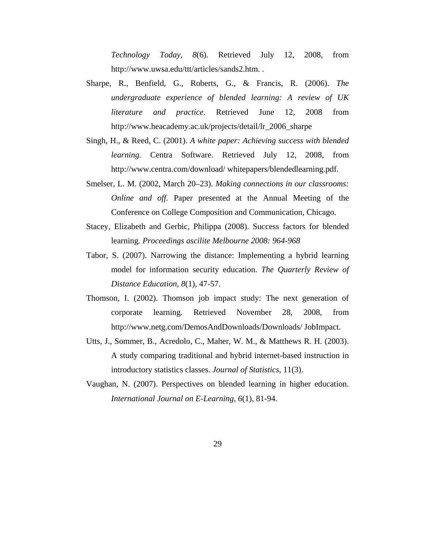*Technology Today, 8*(6). Retrieved July 12, 2008, from http://www.uwsa.edu/ttt/articles/sands2.htm. .

- Sharpe, R., Benfield, G., Roberts, G., & Francis, R. (2006). *The undergraduate experience of blended learning: A review of UK literature and practice*. Retrieved June 12, 2008 from http://www.heacademy.ac.uk/projects/detail/lr\_2006\_sharpe
- Singh, H., & Reed, C. (2001). *A white paper: Achieving success with blended learning.* Centra Software. Retrieved July 12, 2008, from http://www.centra.com/download/ whitepapers/blendedlearning.pdf.
- Smelser, L. M. (2002, March 20–23). *Making connections in our classrooms: Online and off.* Paper presented at the Annual Meeting of the Conference on College Composition and Communication, Chicago.
- Stacey, Elizabeth and Gerbic, Philippa (2008). Success factors for blended learning*. Proceedings ascilite Melbourne 2008: 964-968*
- Tabor, S. (2007). Narrowing the distance: Implementing a hybrid learning model for information security education. *The Quarterly Review of Distance Education, 8*(1), 47-57.
- Thomson, I. (2002). Thomson job impact study: The next generation of corporate learning*.* Retrieved November 28, 2008, from http://www.netg.com/DemosAndDownloads/Downloads/ JobImpact.
- Utts, J., Sommer, B., Acredolo, C., Maher, W. M., & Matthews R. H. (2003). A study comparing traditional and hybrid internet-based instruction in introductory statistics classes. *Journal of Statistics*, 11(3).
- Vaughan, N. (2007). Perspectives on blended learning in higher education. *International Journal on E-Learning, 6*(1), 81-94.